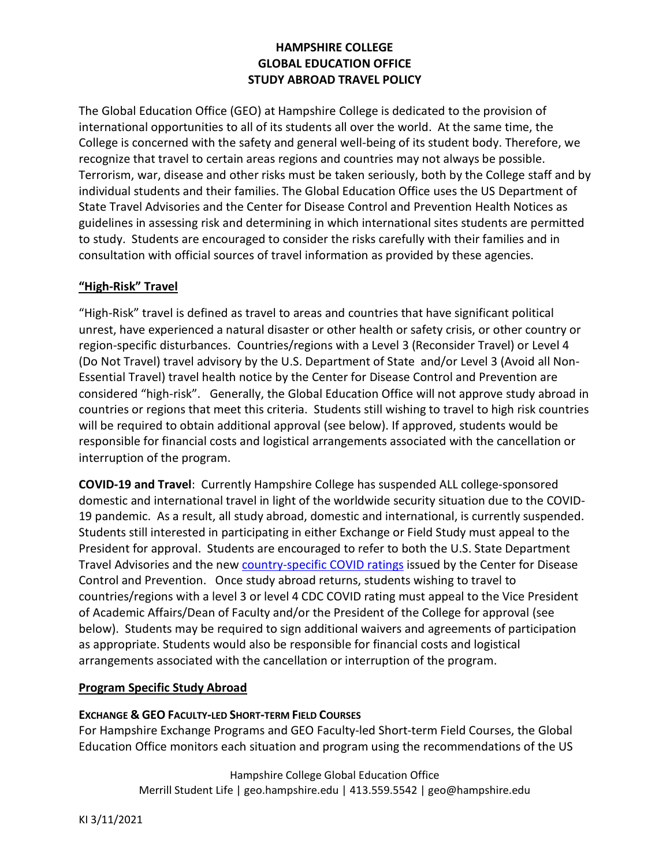# **HAMPSHIRE COLLEGE GLOBAL EDUCATION OFFICE STUDY ABROAD TRAVEL POLICY**

The Global Education Office (GEO) at Hampshire College is dedicated to the provision of international opportunities to all of its students all over the world. At the same time, the College is concerned with the safety and general well-being of its student body. Therefore, we recognize that travel to certain areas regions and countries may not always be possible. Terrorism, war, disease and other risks must be taken seriously, both by the College staff and by individual students and their families. The Global Education Office uses the US Department of State Travel Advisories and the Center for Disease Control and Prevention Health Notices as guidelines in assessing risk and determining in which international sites students are permitted to study. Students are encouraged to consider the risks carefully with their families and in consultation with official sources of travel information as provided by these agencies.

## **"High-Risk" Travel**

"High-Risk" travel is defined as travel to areas and countries that have significant political unrest, have experienced a natural disaster or other health or safety crisis, or other country or region-specific disturbances. Countries/regions with a Level 3 (Reconsider Travel) or Level 4 (Do Not Travel) travel advisory by the U.S. Department of State and/or Level 3 (Avoid all Non-Essential Travel) travel health notice by the Center for Disease Control and Prevention are considered "high-risk". Generally, the Global Education Office will not approve study abroad in countries or regions that meet this criteria. Students still wishing to travel to high risk countries will be required to obtain additional approval (see below). If approved, students would be responsible for financial costs and logistical arrangements associated with the cancellation or interruption of the program.

**COVID-19 and Travel**: Currently Hampshire College has suspended ALL college-sponsored domestic and international travel in light of the worldwide security situation due to the COVID-19 pandemic. As a result, all study abroad, domestic and international, is currently suspended. Students still interested in participating in either Exchange or Field Study must appeal to the President for approval. Students are encouraged to refer to both the U.S. State Department Travel Advisories and the new [country-specific COVID ratings](https://www.cdc.gov/coronavirus/2019-ncov/travelers/map-and-travel-notices.html) issued by the Center for Disease Control and Prevention. Once study abroad returns, students wishing to travel to countries/regions with a level 3 or level 4 CDC COVID rating must appeal to the Vice President of Academic Affairs/Dean of Faculty and/or the President of the College for approval (see below). Students may be required to sign additional waivers and agreements of participation as appropriate. Students would also be responsible for financial costs and logistical arrangements associated with the cancellation or interruption of the program.

## **Program Specific Study Abroad**

## **EXCHANGE & GEO FACULTY-LED SHORT-TERM FIELD COURSES**

For Hampshire Exchange Programs and GEO Faculty-led Short-term Field Courses, the Global Education Office monitors each situation and program using the recommendations of the US

> Hampshire College Global Education Office Merrill Student Life | geo.hampshire.edu | 413.559.5542 | geo@hampshire.edu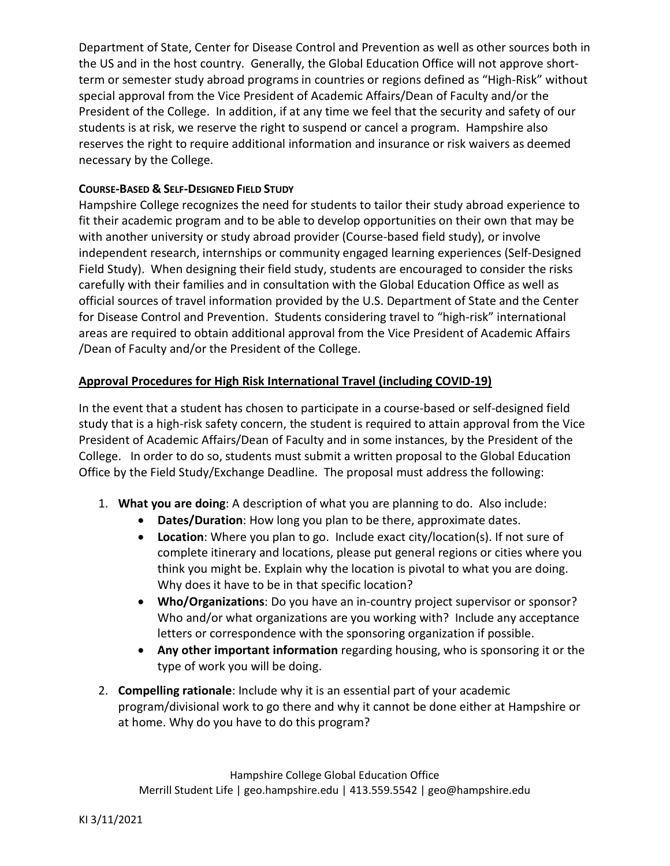Department of State, Center for Disease Control and Prevention as well as other sources both in the US and in the host country. Generally, the Global Education Office will not approve shortterm or semester study abroad programs in countries or regions defined as "High-Risk" without special approval from the Vice President of Academic Affairs/Dean of Faculty and/or the President of the College. In addition, if at any time we feel that the security and safety of our students is at risk, we reserve the right to suspend or cancel a program. Hampshire also reserves the right to require additional information and insurance or risk waivers as deemed necessary by the College.

### **COURSE-BASED & SELF-DESIGNED FIELD STUDY**

Hampshire College recognizes the need for students to tailor their study abroad experience to fit their academic program and to be able to develop opportunities on their own that may be with another university or study abroad provider (Course-based field study), or involve independent research, internships or community engaged learning experiences (Self-Designed Field Study). When designing their field study, students are encouraged to consider the risks carefully with their families and in consultation with the Global Education Office as well as official sources of travel information provided by the U.S. Department of State and the Center for Disease Control and Prevention. Students considering travel to "high-risk" international areas are required to obtain additional approval from the Vice President of Academic Affairs /Dean of Faculty and/or the President of the College.

### **Approval Procedures for High Risk International Travel (including COVID-19)**

In the event that a student has chosen to participate in a course-based or self-designed field study that is a high-risk safety concern, the student is required to attain approval from the Vice President of Academic Affairs/Dean of Faculty and in some instances, by the President of the College. In order to do so, students must submit a written proposal to the Global Education Office by the Field Study/Exchange Deadline. The proposal must address the following:

- 1. **What you are doing**: A description of what you are planning to do. Also include:
	- **Dates/Duration**: How long you plan to be there, approximate dates.
	- **Location**: Where you plan to go. Include exact city/location(s). If not sure of complete itinerary and locations, please put general regions or cities where you think you might be. Explain why the location is pivotal to what you are doing. Why does it have to be in that specific location?
	- **Who/Organizations**: Do you have an in-country project supervisor or sponsor? Who and/or what organizations are you working with? Include any acceptance letters or correspondence with the sponsoring organization if possible.
	- **Any other important information** regarding housing, who is sponsoring it or the type of work you will be doing.
- 2. **Compelling rationale**: Include why it is an essential part of your academic program/divisional work to go there and why it cannot be done either at Hampshire or at home. Why do you have to do this program?